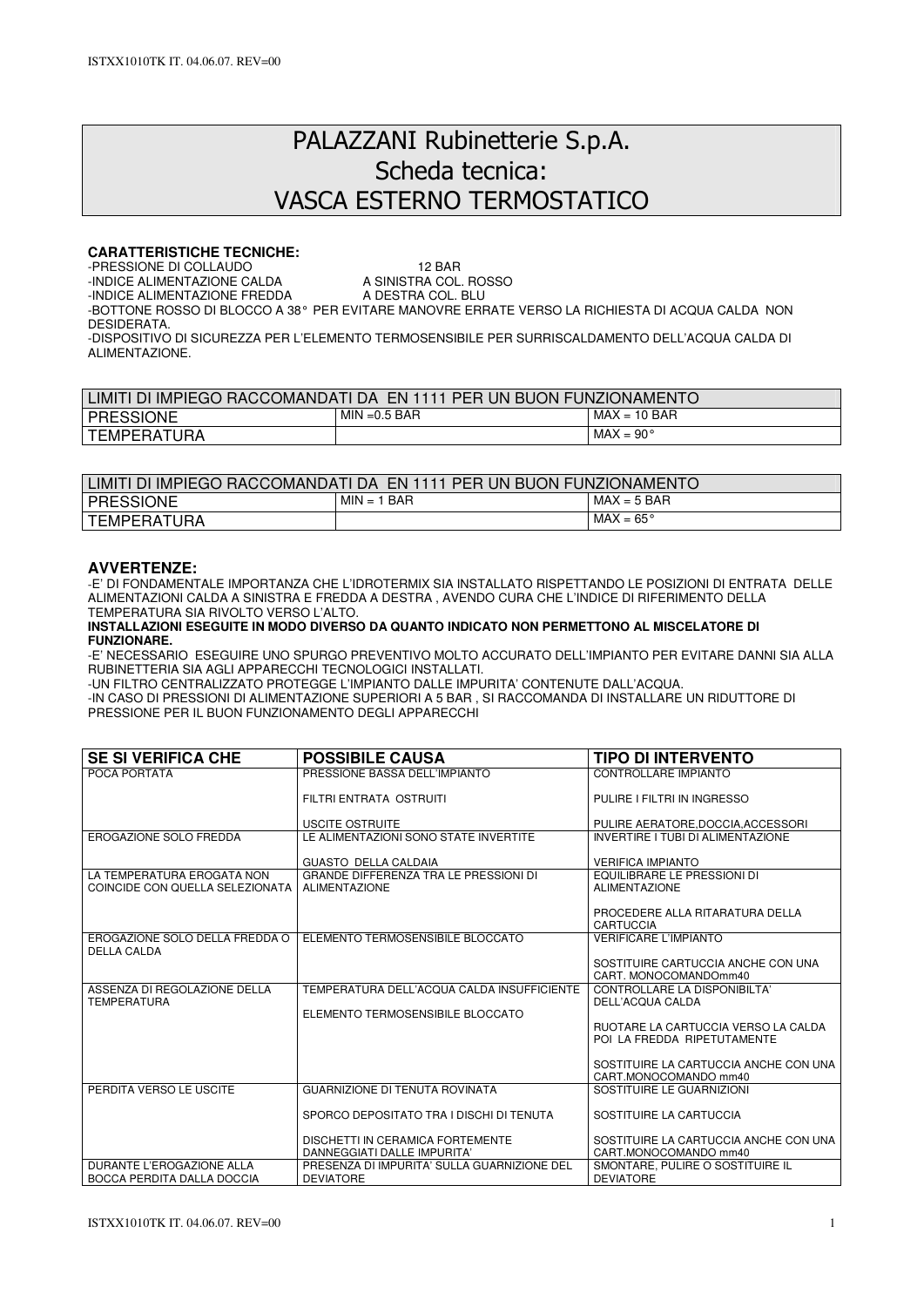# PALAZZANI Rubinetterie S.p.A. Scheda tecnica: VASCA ESTERNO TERMOSTATICO

# **CARATTERISTICHE TECNICHE:**

-PRESSIONE DI COLLAUDO<br>-INDICE ALIMENTAZIONE CALDA A SINISTRA COL. ROSSO

-INDICE ALIMENTAZIONE CALDA A SINISTRA COL. ROSSINDICE ALIMENTAZIONE FREDDA A DESTRA COL. BLU -INDICE ALIMENTAZIONE FREDDA

-BOTTONE ROSSO DI BLOCCO A 38° PER EVITARE MANOVRE ERRATE VERSO LA RICHIESTA DI ACQUA CALDA NON DESIDERATA.

-DISPOSITIVO DI SICUREZZA PER L'ELEMENTO TERMOSENSIBILE PER SURRISCALDAMENTO DELL'ACQUA CALDA DI ALIMENTAZIONE.

| LIMITI DI IMPIEGO RACCOMANDATI DA EN 1111 PER UN BUON FUNZIONAMENTO |                 |                    |  |
|---------------------------------------------------------------------|-----------------|--------------------|--|
| <b>PRESSIONE</b>                                                    | $MIN = 0.5 BAR$ | $MAX = 10 BAR$     |  |
| <b>TEMPERATURA</b>                                                  |                 | $MAX = 90^{\circ}$ |  |

| LIMITI DI IMPIEGO RACCOMANDATI DA  EN 1111 PER UN BUON FUNZIONAMENTO |               |                    |  |  |
|----------------------------------------------------------------------|---------------|--------------------|--|--|
| <b>PRESSIONE</b>                                                     | $MIN = 1 BAR$ | $MAX = 5$ BAR      |  |  |
| I TEMPERATURA                                                        |               | $MAX = 65^{\circ}$ |  |  |

# **AVVERTENZE:**

-E' DI FONDAMENTALE IMPORTANZA CHE L'IDROTERMIX SIA INSTALLATO RISPETTANDO LE POSIZIONI DI ENTRATA DELLE ALIMENTAZIONI CALDA A SINISTRA E FREDDA A DESTRA , AVENDO CURA CHE L'INDICE DI RIFERIMENTO DELLA TEMPERATURA SIA RIVOLTO VERSO L'ALTO.

**INSTALLAZIONI ESEGUITE IN MODO DIVERSO DA QUANTO INDICATO NON PERMETTONO AL MISCELATORE DI FUNZIONARE.** 

-E' NECESSARIO ESEGUIRE UNO SPURGO PREVENTIVO MOLTO ACCURATO DELL'IMPIANTO PER EVITARE DANNI SIA ALLA RUBINETTERIA SIA AGLI APPARECCHI TECNOLOGICI INSTALLATI.

-UN FILTRO CENTRALIZZATO PROTEGGE L'IMPIANTO DALLE IMPURITA' CONTENUTE DALL'ACQUA.

-IN CASO DI PRESSIONI DI ALIMENTAZIONE SUPERIORI A 5 BAR , SI RACCOMANDA DI INSTALLARE UN RIDUTTORE DI PRESSIONE PER IL BUON FUNZIONAMENTO DEGLI APPARECCHI

| <b>SE SI VERIFICA CHE</b>                                     | <b>POSSIBILE CAUSA</b>                                               | <b>TIPO DI INTERVENTO</b>                                          |
|---------------------------------------------------------------|----------------------------------------------------------------------|--------------------------------------------------------------------|
| POCA PORTATA                                                  | PRESSIONE BASSA DELL'IMPIANTO                                        | CONTROLLARE IMPIANTO                                               |
|                                                               | FILTRI ENTRATA OSTRUITI                                              | PULIRE I FILTRI IN INGRESSO                                        |
|                                                               | <b>USCITE OSTRUITE</b>                                               | PULIRE AERATORE, DOCCIA, ACCESSORI                                 |
| <b>EROGAZIONE SOLO FREDDA</b>                                 | LE ALIMENTAZIONI SONO STATE INVERTITE                                | INVERTIRE I TUBI DI ALIMENTAZIONE                                  |
|                                                               | <b>GUASTO DELLA CALDAIA</b>                                          | <b>VERIFICA IMPIANTO</b>                                           |
| LA TEMPERATURA EROGATA NON<br>COINCIDE CON QUELLA SELEZIONATA | <b>GRANDE DIFFERENZA TRA LE PRESSIONI DI</b><br><b>ALIMENTAZIONE</b> | EQUILIBRARE LE PRESSIONI DI<br><b>ALIMENTAZIONE</b>                |
|                                                               |                                                                      | PROCEDERE ALLA RITARATURA DELLA<br>CARTUCCIA                       |
| EROGAZIONE SOLO DELLA FREDDA O<br><b>DELLA CALDA</b>          | ELEMENTO TERMOSENSIBILE BLOCCATO                                     | <b>VERIFICARE L'IMPIANTO</b>                                       |
|                                                               |                                                                      | SOSTITUIRE CARTUCCIA ANCHE CON UNA<br>CART. MONOCOMANDOmm40        |
| ASSENZA DI REGOLAZIONE DELLA<br><b>TEMPERATURA</b>            | TEMPERATURA DELL'ACQUA CALDA INSUFFICIENTE                           | CONTROLLARE LA DISPONIBILTA'<br>DELL'ACQUA CALDA                   |
|                                                               | ELEMENTO TERMOSENSIBILE BLOCCATO                                     |                                                                    |
|                                                               |                                                                      | RUOTARE LA CARTUCCIA VERSO LA CALDA<br>POI LA FREDDA RIPETUTAMENTE |
|                                                               |                                                                      | SOSTITUIRE LA CARTUCCIA ANCHE CON UNA<br>CART.MONOCOMANDO mm40     |
| PERDITA VERSO LE USCITE                                       | <b>GUARNIZIONE DI TENUTA ROVINATA</b>                                | SOSTITUIRE LE GUARNIZIONI                                          |
|                                                               | SPORCO DEPOSITATO TRA I DISCHI DI TENUTA                             | SOSTITUIRE LA CARTUCCIA                                            |
|                                                               | DISCHETTI IN CERAMICA FORTEMENTE<br>DANNEGGIATI DALLE IMPURITA'      | SOSTITUIRE LA CARTUCCIA ANCHE CON UNA<br>CART.MONOCOMANDO mm40     |
| DURANTE L'EROGAZIONE ALLA<br>BOCCA PERDITA DALLA DOCCIA       | PRESENZA DI IMPURITA' SULLA GUARNIZIONE DEL<br><b>DEVIATORE</b>      | SMONTARE, PULIRE O SOSTITUIRE IL<br><b>DEVIATORE</b>               |